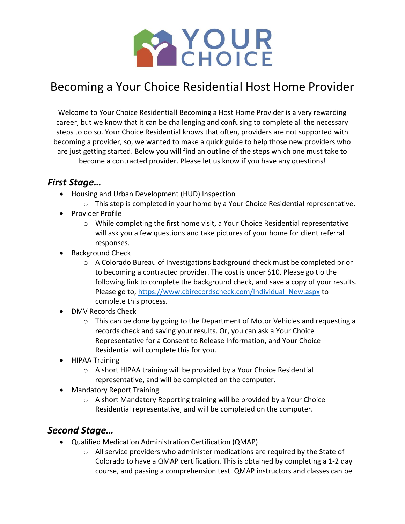

## Becoming a Your Choice Residential Host Home Provider

Welcome to Your Choice Residential! Becoming a Host Home Provider is a very rewarding career, but we know that it can be challenging and confusing to complete all the necessary steps to do so. Your Choice Residential knows that often, providers are not supported with becoming a provider, so, we wanted to make a quick guide to help those new providers who are just getting started. Below you will find an outline of the steps which one must take to become a contracted provider. Please let us know if you have any questions!

## *First Stage…*

- Housing and Urban Development (HUD) Inspection
	- o This step is completed in your home by a Your Choice Residential representative.
- Provider Profile
	- $\circ$  While completing the first home visit, a Your Choice Residential representative will ask you a few questions and take pictures of your home for client referral responses.
- Background Check
	- $\circ$  A Colorado Bureau of Investigations background check must be completed prior to becoming a contracted provider. The cost is under \$10. Please go tio the following link to complete the background check, and save a copy of your results. Please go to, [https://www.cbirecordscheck.com/Individual\\_New.aspx](https://www.cbirecordscheck.com/Individual_New.aspx) to complete this process.
- DMV Records Check
	- $\circ$  This can be done by going to the Department of Motor Vehicles and requesting a records check and saving your results. Or, you can ask a Your Choice Representative for a Consent to Release Information, and Your Choice Residential will complete this for you.
- HIPAA Training
	- o A short HIPAA training will be provided by a Your Choice Residential representative, and will be completed on the computer.
- Mandatory Report Training
	- o A short Mandatory Reporting training will be provided by a Your Choice Residential representative, and will be completed on the computer.

## *Second Stage…*

- Qualified Medication Administration Certification (QMAP)
	- $\circ$  All service providers who administer medications are required by the State of Colorado to have a QMAP certification. This is obtained by completing a 1-2 day course, and passing a comprehension test. QMAP instructors and classes can be